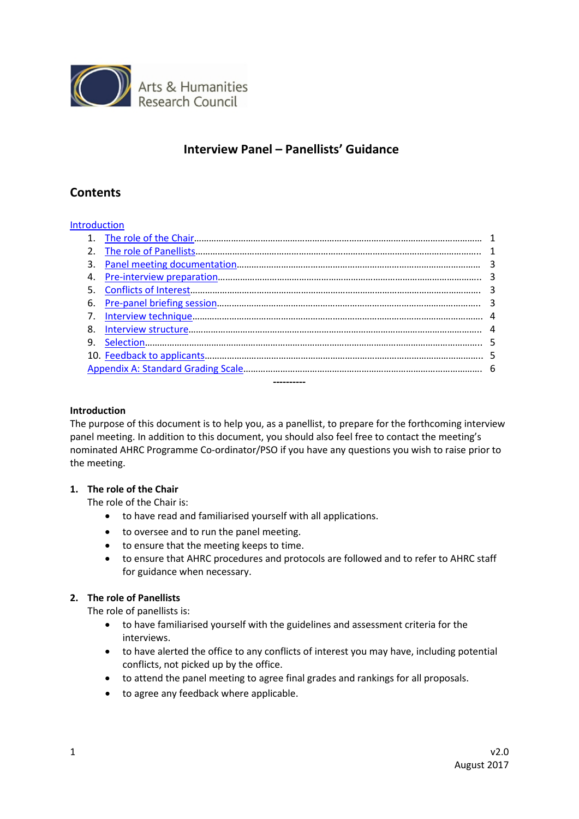

# **Interview Panel – Panellists' Guidance**

# **Contents**

# **[Introduction](#page-0-0)**

| 2.          |  |  |  |  |
|-------------|--|--|--|--|
| 3.          |  |  |  |  |
| 4.          |  |  |  |  |
|             |  |  |  |  |
| 6.          |  |  |  |  |
| $7_{\odot}$ |  |  |  |  |
| 8.          |  |  |  |  |
| 9.          |  |  |  |  |
|             |  |  |  |  |
|             |  |  |  |  |
|             |  |  |  |  |

### <span id="page-0-0"></span>**Introduction**

The purpose of this document is to help you, as a panellist, to prepare for the forthcoming interview panel meeting. In addition to this document, you should also feel free to contact the meeting's nominated AHRC Programme Co-ordinator/PSO if you have any questions you wish to raise prior to the meeting.

#### <span id="page-0-1"></span>**1. The role of the Chair**

The role of the Chair is:

- to have read and familiarised yourself with all applications.
- to oversee and to run the panel meeting.
- to ensure that the meeting keeps to time.
- to ensure that AHRC procedures and protocols are followed and to refer to AHRC staff for guidance when necessary.

# <span id="page-0-2"></span>**2. The role of Panellists**

The role of panellists is:

- to have familiarised yourself with the guidelines and assessment criteria for the interviews.
- to have alerted the office to any conflicts of interest you may have, including potential conflicts, not picked up by the office.
- to attend the panel meeting to agree final grades and rankings for all proposals.
- to agree any feedback where applicable.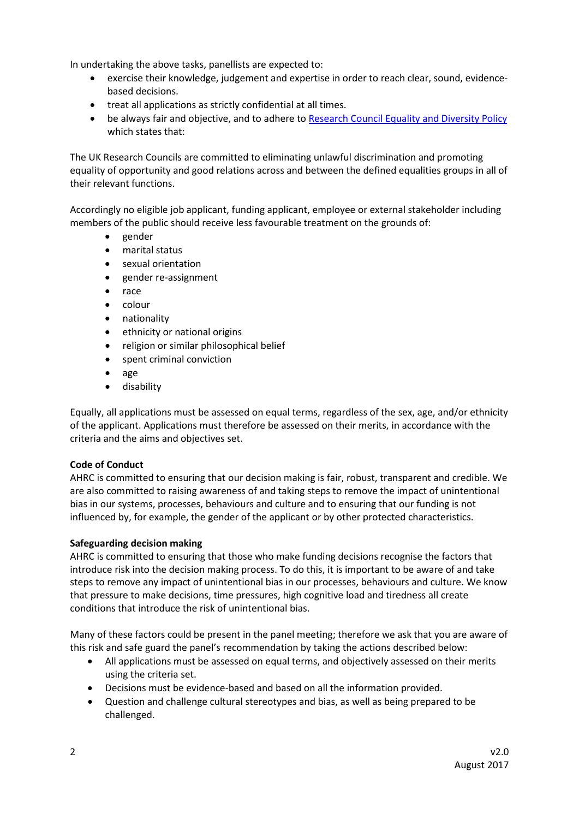In undertaking the above tasks, panellists are expected to:

- exercise their knowledge, judgement and expertise in order to reach clear, sound, evidencebased decisions.
- treat all applications as strictly confidential at all times.
- be always fair and objective, and to adhere to [Research Council Equality and Diversity Policy](http://www.ahrc.ac.uk/peerreview/resources/reviewprocess/reviewerguidance/equality-diversity/) which states that:

The UK Research Councils are committed to eliminating unlawful discrimination and promoting equality of opportunity and good relations across and between the defined equalities groups in all of their relevant functions.

Accordingly no eligible job applicant, funding applicant, employee or external stakeholder including members of the public should receive less favourable treatment on the grounds of:

- gender
- marital status
- sexual orientation
- gender re-assignment
- race
- colour
- nationality
- ethnicity or national origins
- religion or similar philosophical belief
- spent criminal conviction
- age
- disability

Equally, all applications must be assessed on equal terms, regardless of the sex, age, and/or ethnicity of the applicant. Applications must therefore be assessed on their merits, in accordance with the criteria and the aims and objectives set.

# **Code of Conduct**

AHRC is committed to ensuring that our decision making is fair, robust, transparent and credible. We are also committed to raising awareness of and taking steps to remove the impact of unintentional bias in our systems, processes, behaviours and culture and to ensuring that our funding is not influenced by, for example, the gender of the applicant or by other protected characteristics.

# **Safeguarding decision making**

AHRC is committed to ensuring that those who make funding decisions recognise the factors that introduce risk into the decision making process. To do this, it is important to be aware of and take steps to remove any impact of unintentional bias in our processes, behaviours and culture. We know that pressure to make decisions, time pressures, high cognitive load and tiredness all create conditions that introduce the risk of unintentional bias.

Many of these factors could be present in the panel meeting; therefore we ask that you are aware of this risk and safe guard the panel's recommendation by taking the actions described below:

- All applications must be assessed on equal terms, and objectively assessed on their merits using the criteria set.
- Decisions must be evidence-based and based on all the information provided.
- Question and challenge cultural stereotypes and bias, as well as being prepared to be challenged.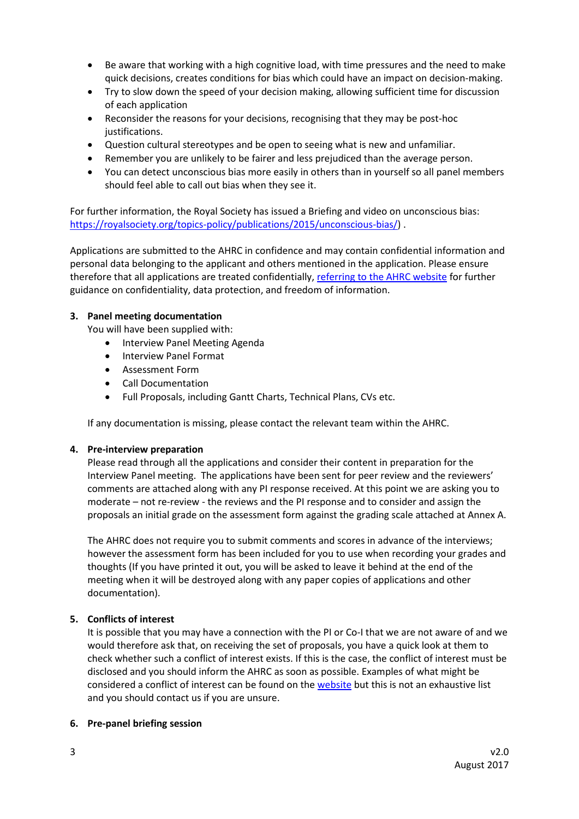- Be aware that working with a high cognitive load, with time pressures and the need to make quick decisions, creates conditions for bias which could have an impact on decision-making.
- Try to slow down the speed of your decision making, allowing sufficient time for discussion of each application
- Reconsider the reasons for your decisions, recognising that they may be post-hoc justifications.
- Question cultural stereotypes and be open to seeing what is new and unfamiliar.
- Remember you are unlikely to be fairer and less prejudiced than the average person.
- You can detect unconscious bias more easily in others than in yourself so all panel members should feel able to call out bias when they see it.

For further information, the Royal Society has issued a Briefing and video on unconscious bias: [https://royalsociety.org/topics-policy/publications/2015/unconscious-bias/\)](https://royalsociety.org/topics-policy/publications/2015/unconscious-bias/).

Applications are submitted to the AHRC in confidence and may contain confidential information and personal data belonging to the applicant and others mentioned in the application. Please ensure therefore that all applications are treated confidentially, [referring to the AHRC website](http://www.ahrc.ac.uk/about/policies/) for further guidance on confidentiality, data protection, and freedom of information.

# <span id="page-2-0"></span>**3. Panel meeting documentation**

You will have been supplied with:

- Interview Panel Meeting Agenda
- Interview Panel Format
- Assessment Form
- Call Documentation
- Full Proposals, including Gantt Charts, Technical Plans, CVs etc.

If any documentation is missing, please contact the relevant team within the AHRC.

#### <span id="page-2-1"></span>**4. Pre-interview preparation**

Please read through all the applications and consider their content in preparation for the Interview Panel meeting. The applications have been sent for peer review and the reviewers' comments are attached along with any PI response received. At this point we are asking you to moderate – not re-review - the reviews and the PI response and to consider and assign the proposals an initial grade on the assessment form against the grading scale attached at Annex A.

The AHRC does not require you to submit comments and scores in advance of the interviews; however the assessment form has been included for you to use when recording your grades and thoughts (If you have printed it out, you will be asked to leave it behind at the end of the meeting when it will be destroyed along with any paper copies of applications and other documentation).

#### <span id="page-2-2"></span>**5. Conflicts of interest**

It is possible that you may have a connection with the PI or Co-I that we are not aware of and we would therefore ask that, on receiving the set of proposals, you have a quick look at them to check whether such a conflict of interest exists. If this is the case, the conflict of interest must be disclosed and you should inform the AHRC as soon as possible. Examples of what might be considered a conflict of interest can be found on th[e website](http://www.ahrc.ac.uk/peerreview/resources/reviewprocess/reviewerguidance/conflictsofinterest/) but this is not an exhaustive list and you should contact us if you are unsure.

#### <span id="page-2-3"></span>**6. Pre-panel briefing session**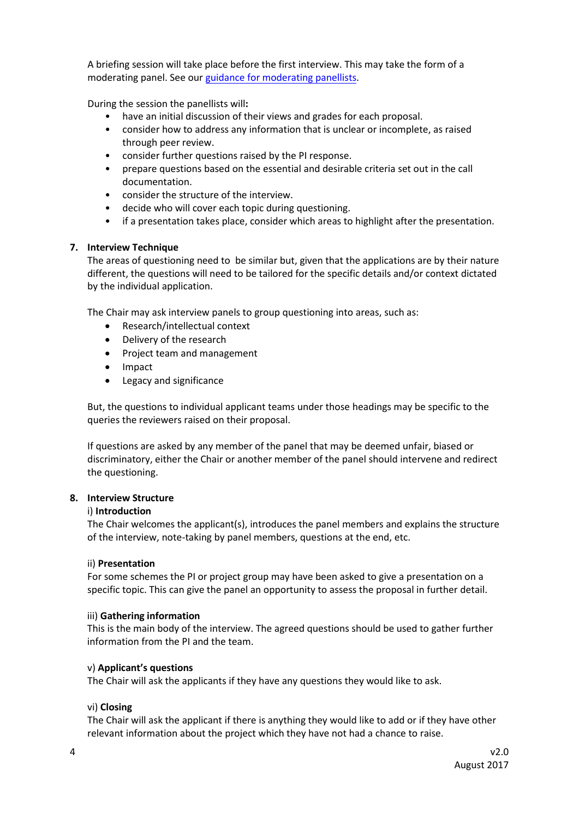A briefing session will take place before the first interview. This may take the form of a moderating panel. See our [guidance for moderating panellists.](https://ahrc.ukri.org/peerreview/panels/panellistsguidance/)

During the session the panellists will**:** 

- have an initial discussion of their views and grades for each proposal.
- consider how to address any information that is unclear or incomplete, as raised through peer review.
- consider further questions raised by the PI response.
- prepare questions based on the essential and desirable criteria set out in the call documentation.
- consider the structure of the interview.
- decide who will cover each topic during questioning.
- if a presentation takes place, consider which areas to highlight after the presentation.

# <span id="page-3-0"></span>**7. Interview Technique**

The areas of questioning need to be similar but, given that the applications are by their nature different, the questions will need to be tailored for the specific details and/or context dictated by the individual application.

The Chair may ask interview panels to group questioning into areas, such as:

- Research/intellectual context
- Delivery of the research
- Project team and management
- Impact
- Legacy and significance

But, the questions to individual applicant teams under those headings may be specific to the queries the reviewers raised on their proposal.

If questions are asked by any member of the panel that may be deemed unfair, biased or discriminatory, either the Chair or another member of the panel should intervene and redirect the questioning.

# <span id="page-3-1"></span>**8. Interview Structure**

#### i) **Introduction**

The Chair welcomes the applicant(s), introduces the panel members and explains the structure of the interview, note-taking by panel members, questions at the end, etc.

#### ii) **Presentation**

For some schemes the PI or project group may have been asked to give a presentation on a specific topic. This can give the panel an opportunity to assess the proposal in further detail.

#### iii) **Gathering information**

This is the main body of the interview. The agreed questions should be used to gather further information from the PI and the team.

#### v) **Applicant's questions**

The Chair will ask the applicants if they have any questions they would like to ask.

#### vi) **Closing**

The Chair will ask the applicant if there is anything they would like to add or if they have other relevant information about the project which they have not had a chance to raise.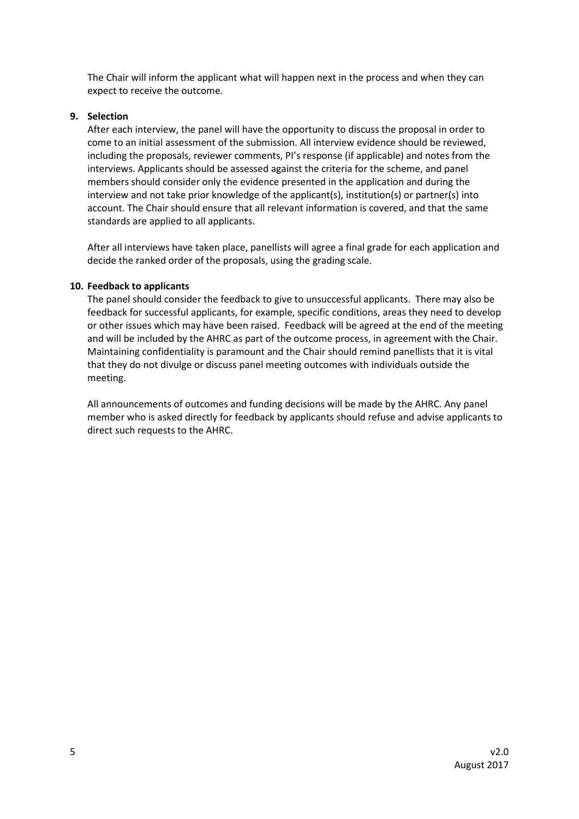The Chair will inform the applicant what will happen next in the process and when they can expect to receive the outcome.

### <span id="page-4-0"></span>**9. Selection**

After each interview, the panel will have the opportunity to discuss the proposal in order to come to an initial assessment of the submission. All interview evidence should be reviewed, including the proposals, reviewer comments, PI's response (if applicable) and notes from the interviews. Applicants should be assessed against the criteria for the scheme, and panel members should consider only the evidence presented in the application and during the interview and not take prior knowledge of the applicant(s), institution(s) or partner(s) into account. The Chair should ensure that all relevant information is covered, and that the same standards are applied to all applicants.

After all interviews have taken place, panellists will agree a final grade for each application and decide the ranked order of the proposals, using the grading scale.

# <span id="page-4-1"></span>**10. Feedback to applicants**

The panel should consider the feedback to give to unsuccessful applicants. There may also be feedback for successful applicants, for example, specific conditions, areas they need to develop or other issues which may have been raised. Feedback will be agreed at the end of the meeting and will be included by the AHRC as part of the outcome process, in agreement with the Chair. Maintaining confidentiality is paramount and the Chair should remind panellists that it is vital that they do not divulge or discuss panel meeting outcomes with individuals outside the meeting.

All announcements of outcomes and funding decisions will be made by the AHRC. Any panel member who is asked directly for feedback by applicants should refuse and advise applicants to direct such requests to the AHRC.